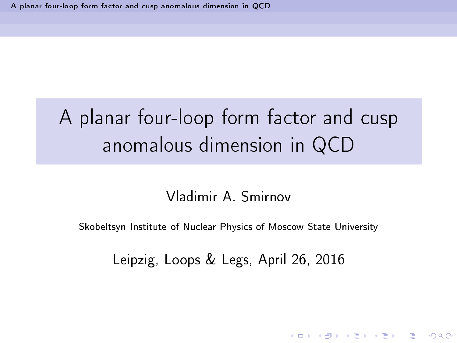# A planar four-loop form factor and cusp anomalous dimension in QCD

### Vladimir A Smirnov

<span id="page-0-0"></span>Skobeltsyn Institute of Nuclear Physics of Moscow State University

Leipzig, Loops & Legs, April 26, 2016

K □ ▶ K @ ▶ K 할 X X 할 X 및 할 X 9 Q @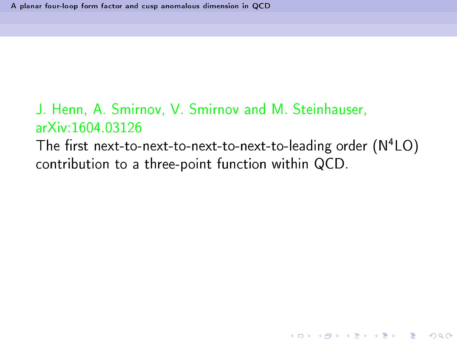The first next-to-next-to-next-to-next-to-leading order  $(N^4LO)$ LO) contribution to a three-point function within QCD.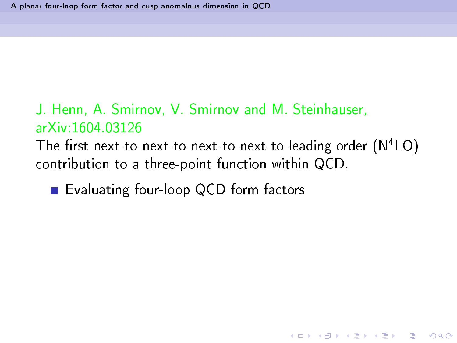The first next-to-next-to-next-to-next-to-leading order  $(N^4LO)$ LO) contribution to a three-point function within QCD.

K □ ▶ K @ ▶ K 할 X X 할 X 및 할 X 9 Q @

■ Evaluating four-loop QCD form factors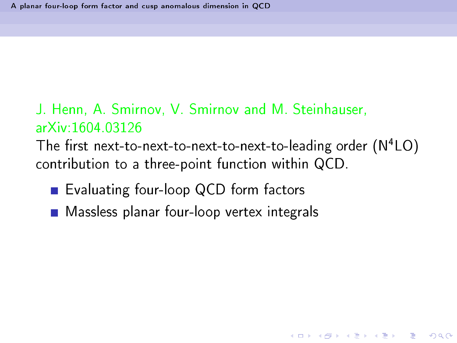The first next-to-next-to-next-to-next-to-leading order  $(N^4LO)$ LO) contribution to a three-point function within QCD.

- Evaluating four-loop QCD form factors
- **Massless planar four-loop vertex integrals**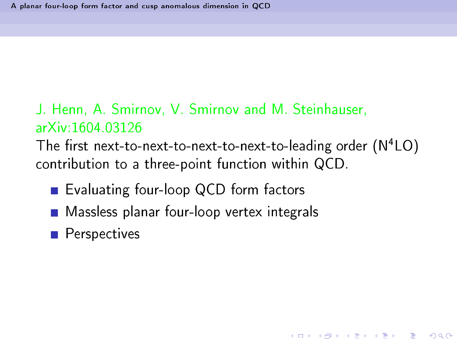The first next-to-next-to-next-to-next-to-leading order  $(N^4LO)$ LO) contribution to a three-point function within QCD.

**KORK EX KEY KEY YOUR** 

- Evaluating four-loop QCD form factors
- **Massless planar four-loop vertex integrals**
- **Perspectives**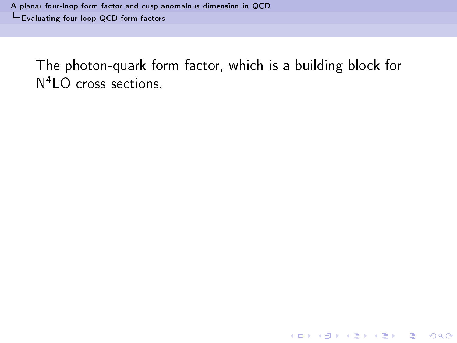<span id="page-5-0"></span>The photon-quark form factor, which is a building block for  $N<sup>4</sup>$ LO cross sections

K ロ ▶ K 레 ≯ K X B → K 코 ≯ L B → Y Q Q O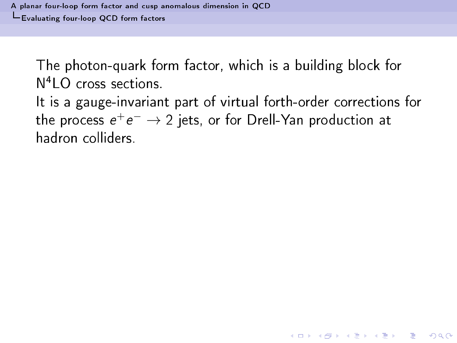The photon-quark form factor, which is a building block for The photon-quark form fa
tor, whi
h is a building blo
k for  $N<sup>4</sup>$  C cross sections

<span id="page-6-0"></span>It is a gauge-invariant part of virtual forth-order corrections for the process  $e^+e^- \rightarrow 2$  jets, or for Drell-Yan production at hadron colliders.

**A DIA K RIA K B A SHA K RIA K DIA K**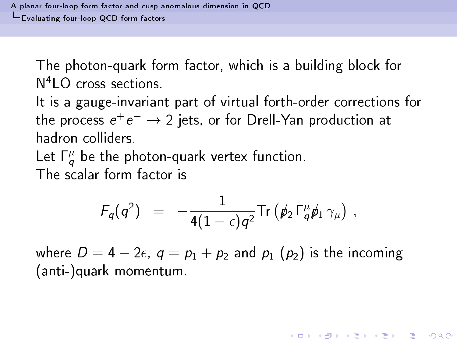The photon-quark form factor, which is a building block for The photon-quark form fa
tor, whi
h is a building blo
k for  $N<sup>4</sup>$  C cross sections

It is a gauge-invariant part of virtual forth-order corrections for the process  $e^+e^- \rightarrow 2$  jets, or for Drell-Yan production at hadron colliders.

Let  $\Gamma_q^{\mu}$  be the photon-quark vertex function. The scalar form factor is

$$
F_q(q^2) = -\frac{1}{4(1-\epsilon)q^2} \text{Tr} \left( \rlap{/}{p_2} \Gamma_q^{\mu} \rlap{/}{p_1} \gamma_{\mu} \right) ,
$$

<span id="page-7-0"></span>where  $D = 4 - 2\epsilon$ ,  $q = p_1 + p_2$  and  $p_1$  ( $p_2$ ) is the incoming (anti-)quark momentum.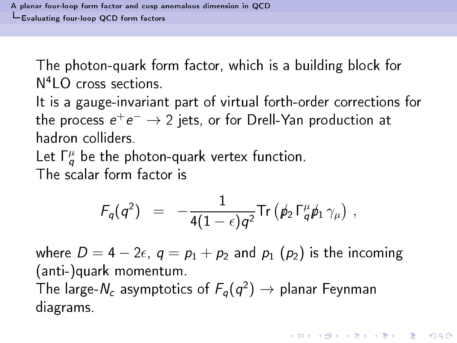The photon-quark form factor, which is a building block for The photon-quark form fa
tor, whi
h is a building blo
k for  $N<sup>4</sup>$  C cross sections

It is a gauge-invariant part of virtual forth-order corrections for the process  $e^+e^- \rightarrow 2$  jets, or for Drell-Yan production at hadron colliders.

Let  $\Gamma_q^{\mu}$  be the photon-quark vertex function. The scalar form factor is

$$
F_q(q^2) = -\frac{1}{4(1-\epsilon)q^2} \text{Tr} \left( \rlap{/}{p}_2 \, \Gamma_q^{\mu} \rlap{/}{p}_1 \, \gamma_{\mu} \right) \, ,
$$

<span id="page-8-0"></span>where  $D = 4 - 2\epsilon$ ,  $q = p_1 + p_2$  and  $p_1$  ( $p_2$ ) is the incoming (anti-)quark momentum. The large- $N_c$  asymptotics of  $F_q(q^2) \rightarrow$  planar Feynman diagrams.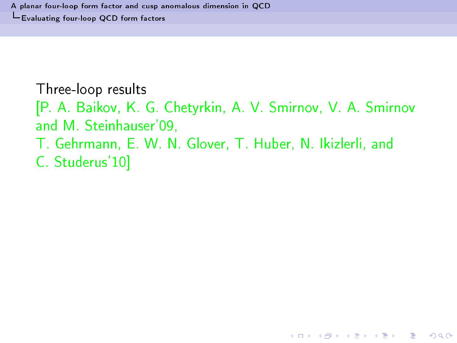#### Three-loop results The experimental control of the experimental control of the experimental control of the experimental control of

[P. A. Baikov, K. G. Chetyrkin, A. V. Smirnov, V. A. Smirnov and M. Steinhauser'09,

**KORK EX KEY KEY YOUR** 

- T. Gehrmann, E. W. N. Glover, T. Huber, N. Ikizlerli, and
- <span id="page-9-0"></span>C. Studerus'10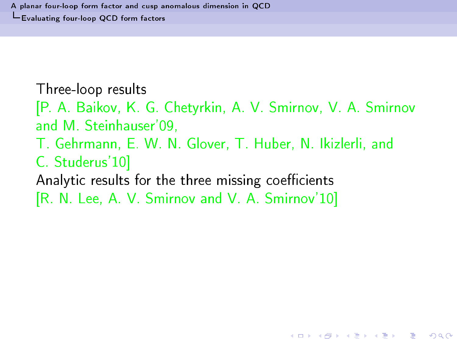Three-loop results The experimental control of the experimental control of the experimental control of the experimental control of

[P. A. Baikov, K. G. Chetyrkin, A. V. Smirnov, V. A. Smirnov and M. Steinhauser'09,

**KORK EX KEY KEY YOUR** 

- T. Gehrmann, E. W. N. Glover, T. Huber, N. Ikizlerli, and
- C. Studerus'10
- Analytic results for the three missing coefficients
- <span id="page-10-0"></span>[R. N. Lee, A. V. Smirnov and V. A. Smirnov'10]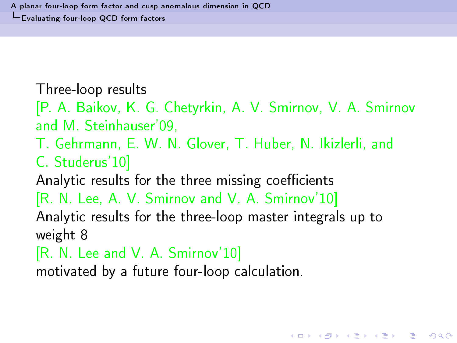Three-loop results The experimental control of the experimental control of the experimental control of the experimental control of

[P. A. Baikov, K. G. Chetyrkin, A. V. Smirnov, V. A. Smirnov and M. Steinhauser'09,

- T. Gehrmann, E. W. N. Glover, T. Huber, N. Ikizlerli, and
- C. Studerus'10

Analytic results for the three missing coefficients

[R. N. Lee, A. V. Smirnov and V. A. Smirnov'10]

Analytic results for the three-loop master integrals up to weight 8

**KORK EX KEY KEY YOUR** 

 $[R. N. Lee and V. A. Smirnov'10]$ 

<span id="page-11-0"></span>motivated by a future four-loop calculation.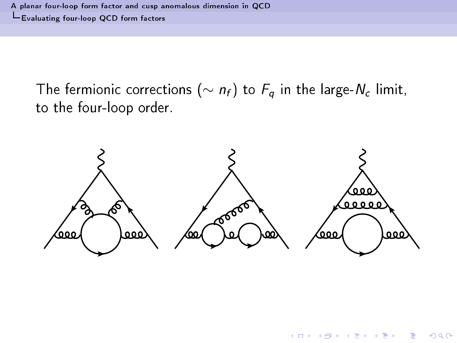A planar four-loop form fa
tor and usp [anomalous](#page-0-0) dimension in QCD [Evaluating](#page-12-0) four-loop QCD form fa
tors

The fermionic corrections ( $\sim n_f$ ) to  $F_q$  in the large- $N_c$  limit, to the four-loop order.

<span id="page-12-0"></span>

 $\left\{ \begin{array}{ccc} 1 & 0 & 0 \\ 0 & 1 & 0 \end{array} \right.$ 

 $QQ$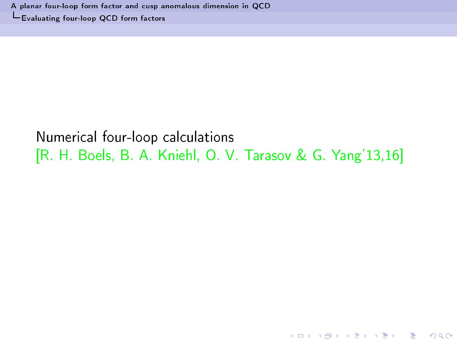### <span id="page-13-0"></span>Numerical four-loop calculations [R. H. Boels, B. A. Kniehl, O. V. Tarasov & G. Yang'13,16]

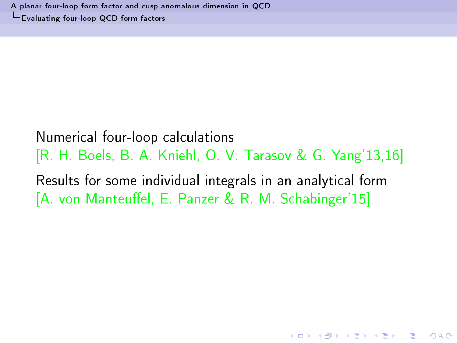## <span id="page-14-0"></span>Numerical four-loop calculations [R. H. Boels, B. A. Kniehl, O. V. Tarasov & G. Yang'13,16] Results for some individual integrals in an analytical form [A. von Manteuffel, E. Panzer & R. M. Schabinger'15]

K □ ▶ K @ ▶ K 할 X X 할 X 및 할 X 9 Q @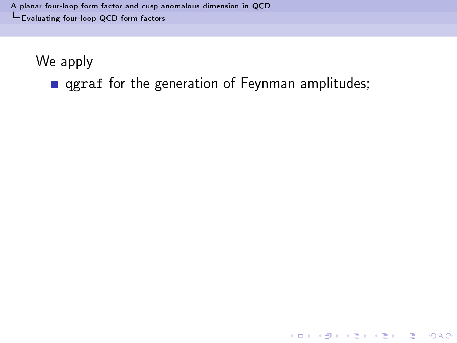A planar four-loop form factor and cusp [anomalous](#page-0-0) dimension in QCD [Evaluating](#page-15-0) four-loop QCD form fa
tors

We apply

<span id="page-15-0"></span>**q** qgraf for the generation of Feynman amplitudes;

K ロ ▶ K 레 ≯ K X B → K 코 ≯ L B → Y Q Q O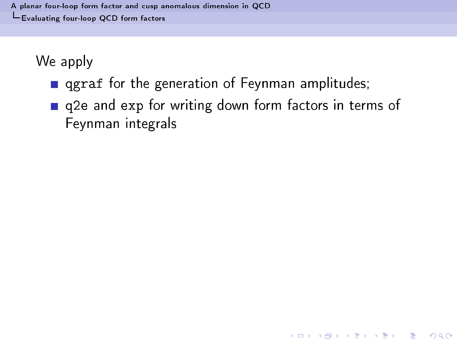- **q** qgraf for the generation of Feynman amplitudes;
- <span id="page-16-0"></span>q2e and exp for writing down form factors in terms of Feynman integrals

**A DIA K RIA K B A SHA K RIA K DIA K**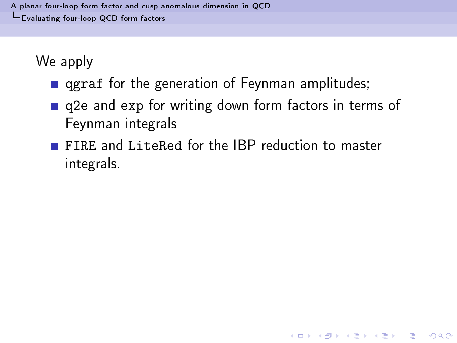- $\mathbf{f}$  for the generation of  $\mathbf{f}$
- q2e and exp for writing down form factors in terms of Feynman integrals

**A DIA K RIA K B A SHA K RIA K DIA K** 

<span id="page-17-0"></span>FIRE and LiteRed for the IBP reduction to master integrals.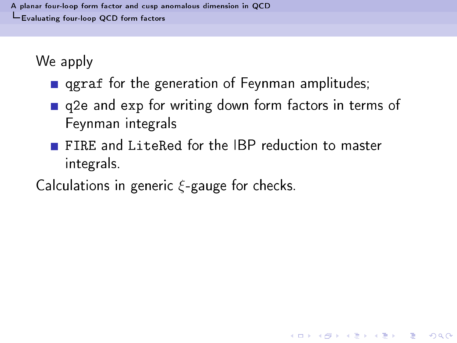- $\mathbf{f}$  for the generation of  $\mathbf{f}$
- g2e and exp for writing down form factors in terms of  $\mathbf{r}$  and experimental tors in terms of  $\mathbf{r}$ Feynman integrals

- FIRE and LiteRed for the IBP reduction to master integrals.
- <span id="page-18-0"></span>Calculations in generic  $\xi$ -gauge for checks.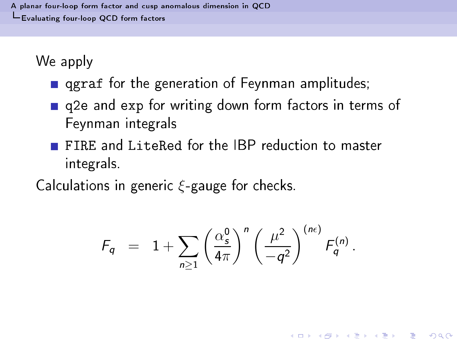- $\mathbf{f}$  for the generation of  $\mathbf{f}$
- g2e and exp for writing down form factors in terms of  $\mathbf{r}$  and experimental tors in terms of  $\mathbf{r}$ Feynman integrals
- FIRE and LiteRed for the IBP reduction to master integrals.

Calculations in generic  $\xi$ -gauge for checks.

<span id="page-19-0"></span>
$$
F_q = 1 + \sum_{n \geq 1} \left( \frac{\alpha_s^0}{4\pi} \right)^n \left( \frac{\mu^2}{-q^2} \right)^{(n\epsilon)} F_q^{(n)}.
$$

K □ ▶ K @ ▶ K 할 X X 할 X 및 할 X 9 Q @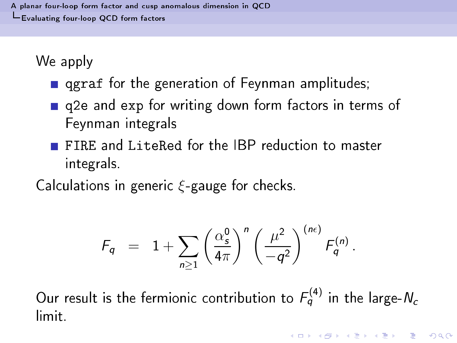- $\mathbf{f}$  for the generation of  $\mathbf{f}$
- g2e and exp for writing down form factors in terms of  $\mathbf{r}$  and experimental tors in terms of  $\mathbf{r}$ Feynman integrals
- FIRE and LiteRed for the IBP reduction to master integrals.

Calculations in generic  $\xi$ -gauge for checks.

$$
F_q = 1 + \sum_{n \geq 1} \left(\frac{\alpha_s^0}{4\pi}\right)^n \left(\frac{\mu^2}{-q^2}\right)^{(n\epsilon)} F_q^{(n)}.
$$

<span id="page-20-0"></span>Our result is the fermionic contribution to  $F_q^{(4)}$  in the large-N<sub>c</sub> limit.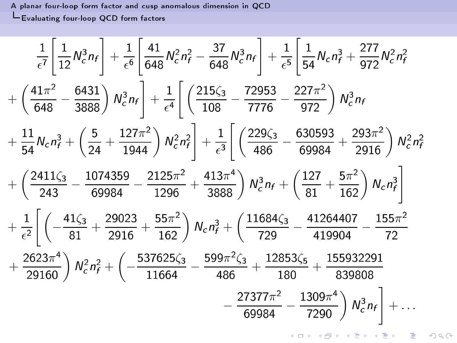A planar four-loop form factor and cusp anomalous dimension in QCD LEvaluating four-loop QCD form factors

<span id="page-21-0"></span>
$$
\frac{1}{\epsilon^7} \left[ \frac{1}{12} N_c^3 n_f \right] + \frac{1}{\epsilon^6} \left[ \frac{41}{648} N_c^2 n_f^2 - \frac{37}{648} N_c^3 n_f \right] + \frac{1}{\epsilon^5} \left[ \frac{1}{54} N_c n_f^3 + \frac{277}{972} N_c^2 n_f^2 \right]
$$
  
+  $\left( \frac{41\pi^2}{648} - \frac{6431}{3888} \right) N_c^3 n_f \right] + \frac{1}{\epsilon^4} \left[ \left( \frac{215\zeta_3}{108} - \frac{72953}{7776} - \frac{227\pi^2}{972} \right) N_c^3 n_f \right]$   
+  $\frac{11}{54} N_c n_f^3 + \left( \frac{5}{24} + \frac{127\pi^2}{1944} \right) N_c^2 n_f^2 \right] + \frac{1}{\epsilon^3} \left[ \left( \frac{229\zeta_3}{486} - \frac{630593}{69984} + \frac{293\pi^2}{2916} \right) N_c^2 n_f^2 \right]$   
+  $\left( \frac{2411\zeta_3}{243} - \frac{1074359}{69984} - \frac{2125\pi^2}{1296} + \frac{413\pi^4}{3888} \right) N_c^3 n_f + \left( \frac{127}{81} + \frac{5\pi^2}{162} \right) N_c n_f^3 \right]$   
+  $\frac{1}{\epsilon^2} \left[ \left( -\frac{41\zeta_3}{81} + \frac{29023}{2916} + \frac{55\pi^2}{162} \right) N_c n_f^3 + \left( \frac{11684\zeta_3}{729} - \frac{41264407}{419904} - \frac{155\pi^2}{72} \right)$   
+  $\frac{2623\pi^4}{29160} N_c^2 n_f^2 + \left( -\frac{537625\zeta_3}{11664} - \frac{599\pi^2\zeta_3}{486} + \frac{12853\zeta_5$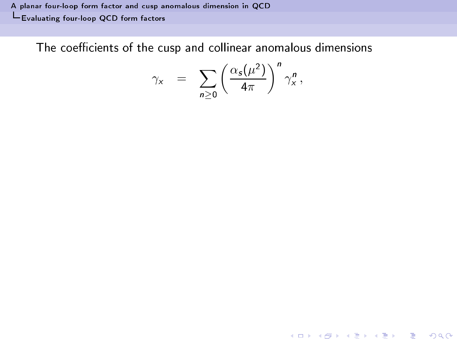A planar four-loop form factor and cusp [anomalous](#page-0-0) dimension in QCD [Evaluating](#page-22-0) four-loop QCD form fa
tors

<span id="page-22-0"></span>The coefficients of the cusp and collinear anomalous dimensions

$$
\gamma_{x} = \sum_{n\geq 0} \left(\frac{\alpha_{s}(\mu^{2})}{4\pi}\right)^{n} \gamma_{x}^{n},
$$

K ロ ▶ K 레 ≯ K X B → K 코 ≯ L B → Y Q Q O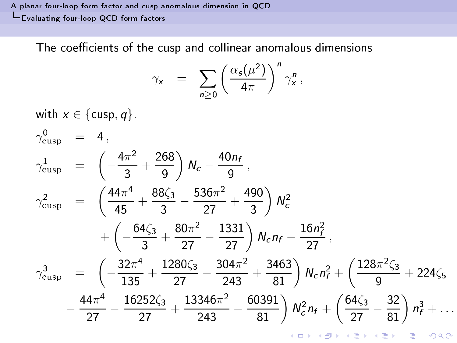A planar four-loop form factor and cusp [anomalous](#page-0-0) dimension in QCD L[Evaluating](#page-23-0) four-loop QCD form factors

The coefficients of the cusp and collinear anomalous dimensions

$$
\gamma_{x} = \sum_{n \geq 0} \left( \frac{\alpha_{s}(\mu^{2})}{4\pi} \right)^{n} \gamma_{x}^{n},
$$

with  $x \in \{\text{cusp}, q\}$ .

<span id="page-23-0"></span>
$$
\gamma_{\text{cusp}}^{0} = 4,
$$
\n
$$
\gamma_{\text{cusp}}^{1} = \left(-\frac{4\pi^{2}}{3} + \frac{268}{9}\right) N_{c} - \frac{40n_{f}}{9},
$$
\n
$$
\gamma_{\text{cusp}}^{2} = \left(\frac{44\pi^{4}}{45} + \frac{88\zeta_{3}}{3} - \frac{536\pi^{2}}{27} + \frac{490}{3}\right) N_{c}^{2}
$$
\n
$$
+ \left(-\frac{64\zeta_{3}}{3} + \frac{80\pi^{2}}{27} - \frac{1331}{27}\right) N_{c} n_{f} - \frac{16n_{f}^{2}}{27},
$$
\n
$$
\gamma_{\text{cusp}}^{3} = \left(-\frac{32\pi^{4}}{135} + \frac{1280\zeta_{3}}{27} - \frac{304\pi^{2}}{243} + \frac{3463}{81}\right) N_{c} n_{f}^{2} + \left(\frac{128\pi^{2}\zeta_{3}}{9} + 224\zeta_{5}\right)
$$
\n
$$
- \frac{44\pi^{4}}{27} - \frac{16252\zeta_{3}}{27} + \frac{13346\pi^{2}}{243} - \frac{60391}{81}\right) N_{c}^{2} n_{f} + \left(\frac{64\zeta_{3}}{27} - \frac{32}{81}\right) n_{f}^{3} + \dots
$$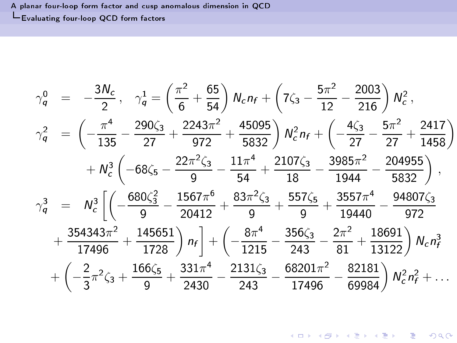A planar four-loop form factor and cusp [anomalous](#page-0-0) dimension in QCD L[Evaluating](#page-24-0) four-loop QCD form factors

<span id="page-24-0"></span>
$$
\gamma_q^0 = -\frac{3N_c}{2}, \quad \gamma_q^1 = \left(\frac{\pi^2}{6} + \frac{65}{54}\right) N_c n_f + \left(7\zeta_3 - \frac{5\pi^2}{12} - \frac{2003}{216}\right) N_c^2,
$$
\n
$$
\gamma_q^2 = \left(-\frac{\pi^4}{135} - \frac{290\zeta_3}{27} + \frac{2243\pi^2}{972} + \frac{45095}{5832}\right) N_c^2 n_f + \left(-\frac{4\zeta_3}{27} - \frac{5\pi^2}{27} + \frac{2417}{1458}\right)
$$
\n
$$
+ N_c^3 \left(-68\zeta_5 - \frac{22\pi^2\zeta_3}{9} - \frac{11\pi^4}{54} + \frac{2107\zeta_3}{18} - \frac{3985\pi^2}{1944} - \frac{204955}{5832}\right),
$$
\n
$$
\gamma_q^3 = N_c^3 \left[\left(-\frac{680\zeta_3^2}{9} - \frac{1567\pi^6}{20412} + \frac{83\pi^2\zeta_3}{9} + \frac{557\zeta_5}{9} + \frac{3557\pi^4}{19440} - \frac{94807\zeta_3}{972} + \frac{354343\pi^2}{17496} + \frac{145651}{1728}\right) n_f\right] + \left(-\frac{8\pi^4}{1215} - \frac{356\zeta_3}{243} - \frac{2\pi^2}{81} + \frac{18691}{13122}\right) N_c n_f^3
$$
\n
$$
+ \left(-\frac{2}{3}\pi^2\zeta_3 + \frac{166\zeta_5}{9} + \frac{331\pi^4}{2430} - \frac{2131\zeta_3}{243} - \frac{68201\pi^2}{17496} - \frac{82181}{69984}\right) N_c^2 n_f^2 + \dots
$$

**K ロ X (日) X X B X X B X 2 B X 9 Q Q Y**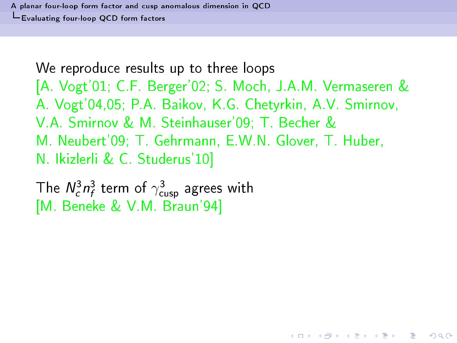<span id="page-26-0"></span>The  $N_c^3n_f^3$  term of  $\gamma_{\mathsf{cusp}}^3$  agrees with [M. Beneke & V.M. Braun'94]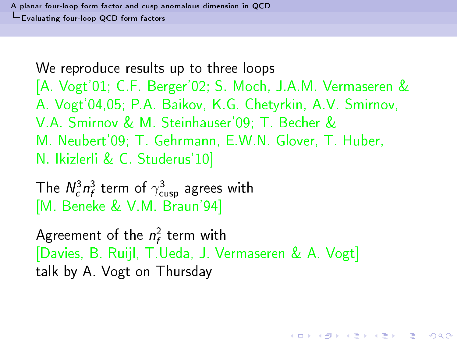The  $N_c^3n_f^3$  term of  $\gamma_{\mathsf{cusp}}^3$  agrees with [M. Beneke & V.M. Braun'94]

<span id="page-27-0"></span>Agreement of the  $n_{\epsilon}$  term with [Davies, B. Ruijl, T.Ueda, J. Vermaseren & A. Vogt] talk by A. Vogt on Thursday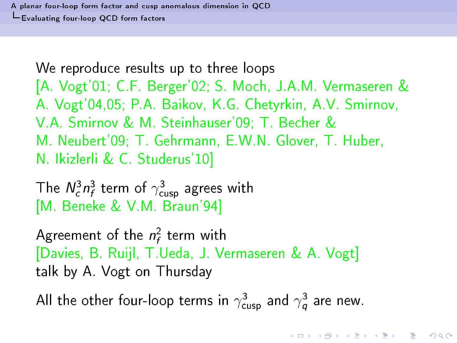The  $N_c^3n_f^3$  term of  $\gamma_{\mathsf{cusp}}^3$  agrees with [M. Beneke & V.M. Braun'94]

Agreement of the  $n_{\epsilon}$  term with [Davies, B. Ruijl, T.Ueda, J. Vermaseren & A. Vogt] talk by A. Vogt on Thursday

<span id="page-28-0"></span>All the other four-loop terms in  $\gamma_{\mathsf{cusp}}^3$  and  $\gamma_{\mathsf{a}}^3$  are new.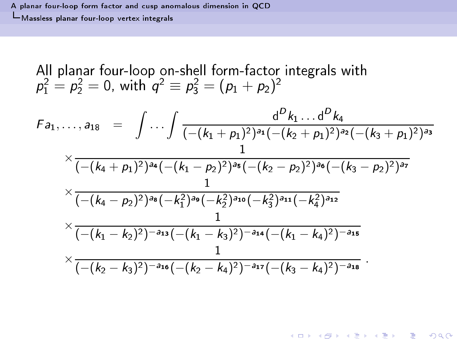All planar four-loop on-shell form-factor integrals with 
$$
p_1^2 = p_2^2 = 0
$$
, with  $q^2 \equiv p_3^2 = (p_1 + p_2)^2$ 

<span id="page-29-0"></span>
$$
F_{a_1,\ldots,a_{18}} = \int \ldots \int \frac{d^D k_1 \ldots d^D k_4}{(-(k_1 + \rho_1)^2)^{a_1}(-(k_2 + \rho_1)^2)^{a_2}(-(k_3 + \rho_1)^2)^{a_3}} \times \frac{1}{(-(k_4 + \rho_1)^2)^{a_4}(-(k_1 - \rho_2)^2)^{a_5}(-(k_2 - \rho_2)^2)^{a_6}(-(k_3 - \rho_2)^2)^{a_7}} \times \frac{1}{(-(k_4 - \rho_2)^2)^{a_8}(-(k_1^2)^{a_9}(-(k_2^2)^{a_{10}}(-(k_3^2)^{a_{11}} - k_4^2)^{a_{12}}}\times \frac{1}{(-(k_1 - k_2)^2)^{-a_{13}}(-(k_1 - k_3)^2)^{-a_{14}}(-(k_1 - k_4)^2)^{-a_{15}}} \times \frac{1}{(-(k_2 - k_3)^2)^{-a_{16}}(-(k_2 - k_4)^2)^{-a_{17}}(-(k_3 - k_4)^2)^{-a_{18}}}\,.
$$

K ロ ▶ K 레 ▶ K 회 ▶ K 회 ▶ X 회 → 이익단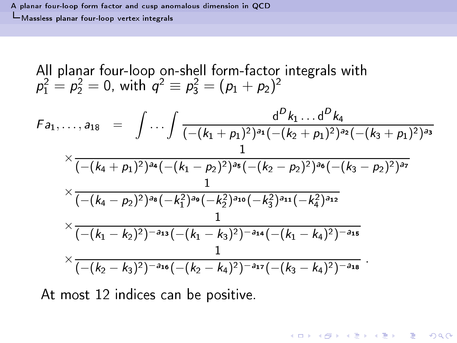All planar four-loop on-shell form-factor integrals with 
$$
p_1^2 = p_2^2 = 0
$$
, with  $q^2 \equiv p_3^2 = (p_1 + p_2)^2$ 

$$
F_{a_1,\ldots,a_{18}} = \int \ldots \int \frac{d^D k_1 \ldots d^D k_4}{(-(k_1 + p_1)^2)^{a_1}(-(k_2 + p_1)^2)^{a_2}(-(k_3 + p_1)^2)^{a_3}} \\
\times \frac{1}{(-(k_4 + p_1)^2)^{a_4}(-(k_1 - p_2)^2)^{a_5}(-(k_2 - p_2)^2)^{a_6}(-(k_3 - p_2)^2)^{a_7}} \\
\times \frac{1}{(-(k_4 - p_2)^2)^{a_8}(-k_1^2)^{a_9}(-k_2^2)^{a_{10}}(-k_3^2)^{a_{11}}(-k_4^2)^{a_{12}} \\
\times \frac{1}{(-(k_1 - k_2)^2)^{-a_{13}}(-(k_1 - k_3)^2)^{-a_{14}}(-(k_1 - k_4)^2)^{-a_{15}} \\
\times \frac{1}{(-(k_2 - k_3)^2)^{-a_{16}}(-(k_2 - k_4)^2)^{-a_{17}}(-(k_3 - k_4)^2)^{-a_{18}}}
$$

**K ロ ▶ K 레 ▶ K 코 ▶ K 코 ▶ 『코 및 수 이익()** 

<span id="page-30-0"></span>At most 12 indices can be positive.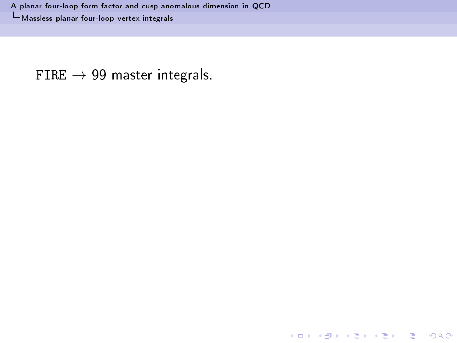<span id="page-31-0"></span>FIRE  $\rightarrow$  99 master integrals.

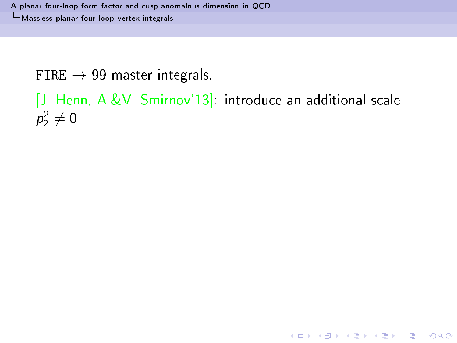A planar four-loop form factor and cusp anomalous dimension in QCD -Massless planar four-loop vertex integrals

FIRE  $\rightarrow$  99 master integrals.

```
[J. Henn, A.&V. Smirnov'13]: introduce an additional scale.
p_2^2 \neq 0
```
K ロ ▶ K 레 ≯ K X B → K 코 ≯ L B → Y Q Q O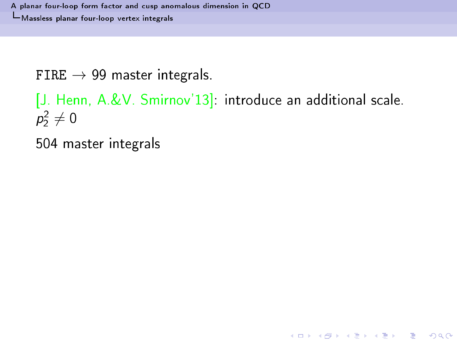A planar four-loop form factor and cusp anomalous dimension in QCD -Massless planar four-loop vertex integrals

FIRE  $\rightarrow$  99 master integrals.

```
[J. Henn, A.&V. Smirnov'13]: introduce an additional scale.
p_2^2 \neq 0
```
K ロ ▶ K 레 ≯ K X B → K 코 ≯ L B → Y Q Q O

<span id="page-33-0"></span>504 master integrals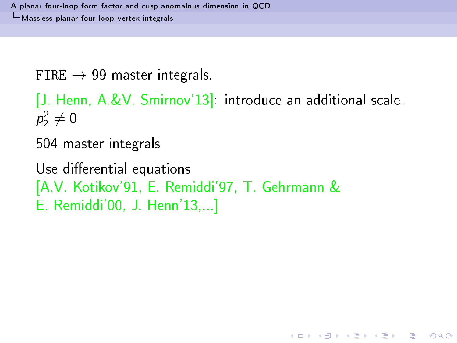FIRE  $\rightarrow$  99 master integrals.

[J. Henn, A.&V. Smirnov'13] introduce an additional scale.  $p_2^2 \neq 0$ 

**A DIA K RIA K E A K RIA K L DA CA** 

504 master integrals

<span id="page-34-0"></span>Use differential equations [A.V. Kotikov'91, E. Remiddi'97, T. Gehrmann & E. Remiddi'00, J. Henn'13....]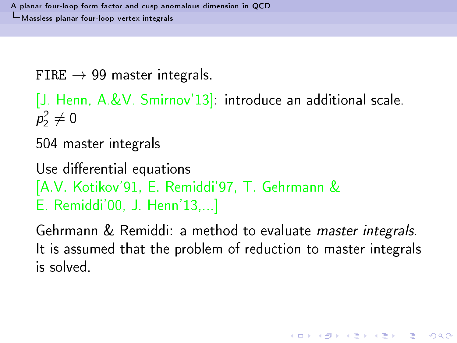FIRE  $\rightarrow$  99 master integrals.

[J. Henn, A.&V. Smirnov'13] introduce an additional scale.  $p_2^2\neq 0$ 

504 master integrals

Use differential equations [A.V. Kotikov'91, E. Remiddi'97, T. Gehrmann & E. Remiddi'00, J. Henn'13,...]

<span id="page-35-0"></span>Gehrmann & Remiddi: a method to evaluate master integrals. It is assumed that the problem of reduction to master integrals is solved.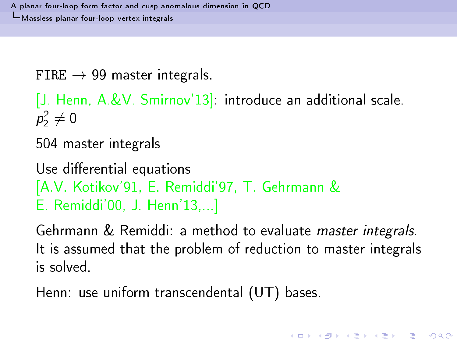FIRE  $\rightarrow$  99 master integrals.

[J. Henn, A.&V. Smirnov'13] introduce an additional scale.  $p_2^2\neq 0$ 

504 master integrals

Use differential equations [A.V. Kotikov'91, E. Remiddi'97, T. Gehrmann & E. Remiddi'00, J. Henn'13,...]

Gehrmann & Remiddi: a method to evaluate master integrals. It is assumed that the problem of reduction to master integrals is solved.

<span id="page-36-0"></span>Henn: use uniform trans
endental (UT) bases.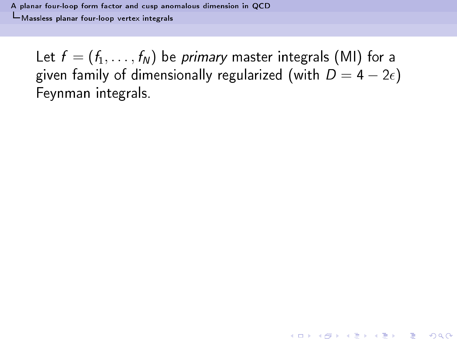A planar four-loop form fa
tor and usp [anomalous](#page-0-0) dimension in QCD Massless planar [four-loop](#page-37-0) vertex integrals

<span id="page-37-0"></span>Let  $f = (f_1, \ldots, f_N)$  be *primary* master integrals (MI) for a given family of dimensionally regularized (with  $D = 4 - 2\epsilon$ ) Feynman integrals. Feynman integrals.

K ロ ▶ K 레 ≯ K X B → K 코 ≯ L B → Y Q Q O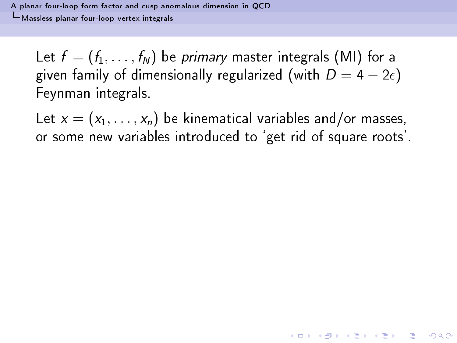Let  $f = (f_1, \ldots, f_N)$  be *primary* master integrals (MI) for a given family of dimensionally regularized (with  $D = 4 - 2\epsilon$ ) Feynman integrals. Feynman integrals.

<span id="page-38-0"></span>Let  $x = (x_1, \ldots, x_n)$  be kinematical variables and/or masses, or some new variables introdu
ed to `get rid of square roots'.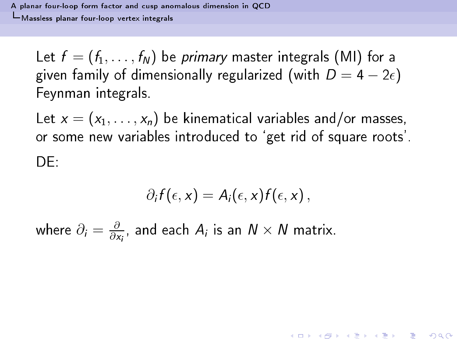Let  $f = (f_1, \ldots, f_N)$  be *primary* master integrals (MI) for a given family of dimensionally regularized (with  $D = 4 - 2\epsilon$ ) Feynman integrals. Feynman integrals.

Let  $x = (x_1, \ldots, x_n)$  be kinematical variables and/or masses, or some new variables introdu
ed to `get rid of square roots'. DF.

$$
\partial_i f(\epsilon, x) = A_i(\epsilon, x) f(\epsilon, x) \,,
$$

**A DIA K RIA K E A K RIA K L DA CA** 

<span id="page-39-0"></span>where  $\partial_i = \frac{\partial}{\partial x_i}$  $\frac{\partial}{\partial x_i}$ , and each  $A_i$  is an  $N\times N$  matrix.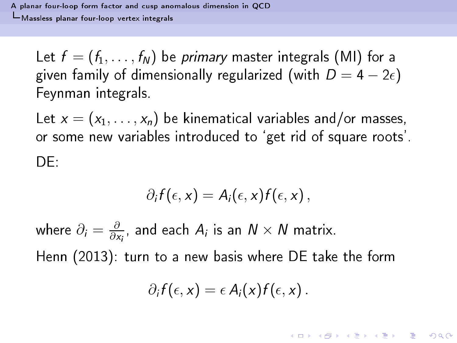Let  $f = (f_1, \ldots, f_N)$  be *primary* master integrals (MI) for a given family of dimensionally regularized (with  $D = 4 - 2\epsilon$ ) Feynman integrals. Feynman integrals.

Let  $x = (x_1, \ldots, x_n)$  be kinematical variables and/or masses, or some new variables introdu
ed to `get rid of square roots'. DF.

$$
\partial_i f(\epsilon, x) = A_i(\epsilon, x) f(\epsilon, x) \,,
$$

<span id="page-40-0"></span>where  $\partial_i = \frac{\partial}{\partial x_i}$  $\frac{\partial}{\partial x_i}$ , and each  $A_i$  is an  $N\times N$  matrix. Henn (2013): turn to a new basis where DE take the form

$$
\partial_i f(\epsilon,x)=\epsilon A_i(x) f(\epsilon,x).
$$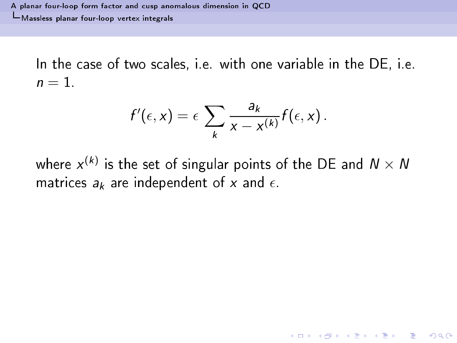A planar four-loop form fa
tor and usp [anomalous](#page-0-0) dimension in QCD Massless planar [four-loop](#page-41-0) vertex integrals

In the case of two scales, i.e. with one variable in the DE, i.e.  $n = 1$ .

$$
f'(\epsilon,x)=\epsilon\sum_k\frac{a_k}{x-x^{(k)}}f(\epsilon,x).
$$

<span id="page-41-0"></span>where  $x^{(k)}$  is the set of singular points of the DE and  $N\times N$ matrices  $a_k$  are independent of x and  $\epsilon$ .

**A DIA K RIA K B A SHA K RIA K DIA K**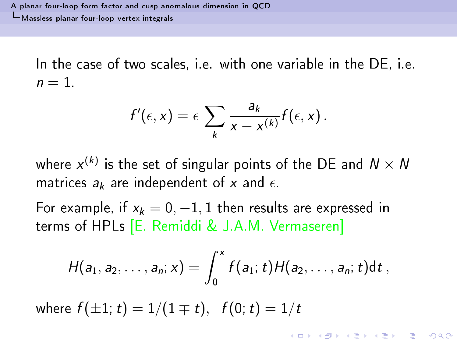In the case of two scales, i.e. with one variable in the DE, i.e.  $n = 1$ .

$$
f'(\epsilon,x)=\epsilon\sum_k\frac{a_k}{x-x^{(k)}}f(\epsilon,x).
$$

where  $x^{(k)}$  is the set of singular points of the DE and  $N\times N$ matrices  $a_k$  are independent of x and  $\epsilon$ .

For example, if  $x_k = 0, -1, 1$  then results are expressed in terms of HPLs [E. Remiddi & J.A.M. Vermaseren]

$$
H(a_1, a_2, \ldots, a_n; x) = \int_0^x f(a_1; t) H(a_2, \ldots, a_n; t) dt,
$$

<span id="page-42-0"></span>where  $f(\pm 1; t) = 1/(1 \mp t)$ ,  $f(0; t) = 1/t$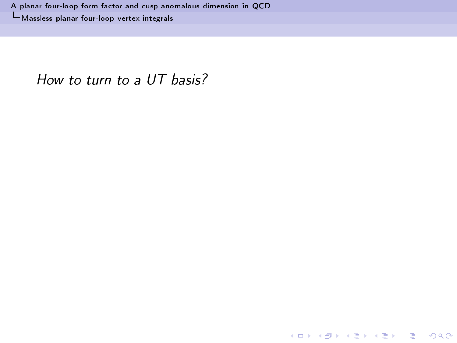<span id="page-43-0"></span>How to turn to a UT basis?

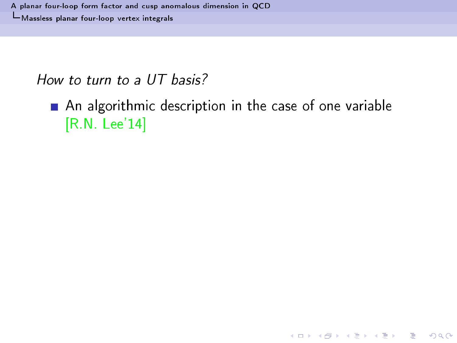How to turn to a UT basis?

<span id="page-44-0"></span>An algorithmic description in the case of one variable  $[R.N. Lee'14]$ 

K ロ ▶ K 레 ≯ K X B → K 코 ≯ L B → Y Q Q O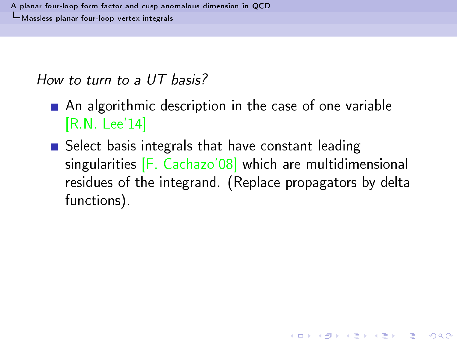How to turn to a UT basis?

- An algorithmic description in the case of one variable  $[R.N. Lee'14]$
- <span id="page-45-0"></span>Select basis integrals that have constant leading singularities [F. Cachazo'08] which are multidimensional residues of the integrand. (Replace propagators by delta functions).

K □ ▶ K @ ▶ K 할 X X 할 X 및 할 X 9 Q Q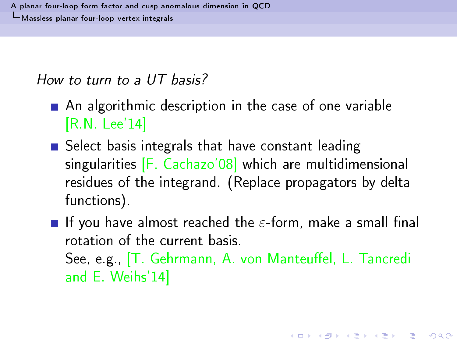How to turn to a UT basis?

- An algorithmic description in the case of one variable  $[R.N. Lee'14]$
- Select basis integrals that have constant leading singularities [F. Cachazo'08] which are multidimensional residues of the integrand. (Replace propagators by delta functions).
- <span id="page-46-0"></span>**If** you have almost reached the  $\varepsilon$ -form, make a small final rotation of the current basis. See, e.g., [T. Gehrmann, A. von Manteuffel, L. Tancredi and E. Weihs'14]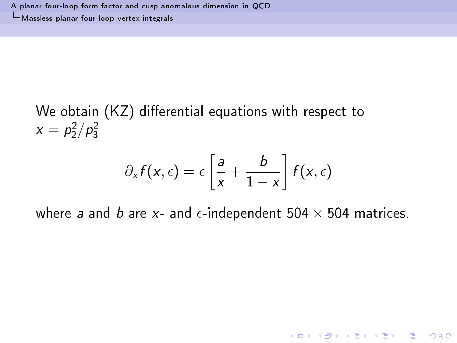We obtain (KZ) differential equations with respect to  $x = p_2^2/p_3^2$ 

$$
\partial_x f(x,\epsilon) = \epsilon \left[ \frac{a}{x} + \frac{b}{1-x} \right] f(x,\epsilon)
$$

<span id="page-47-0"></span>where a and b are x- and  $\epsilon$ -independent 504  $\times$  504 matrices.

**K ロ ▶ K 레 ▶ K 코 ▶ K 코 ▶ 『코 및 수 이익()**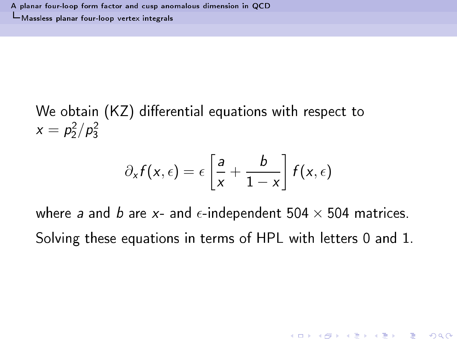We obtain  $(KZ)$  differential equations with respect to  $x=p_2^2/p_3^2$ 

$$
\partial_x f(x,\epsilon) = \epsilon \left[ \frac{a}{x} + \frac{b}{1-x} \right] f(x,\epsilon)
$$

<span id="page-48-0"></span>where a and b are x- and  $\epsilon$ -independent 504  $\times$  504 matrices. Solving these equations in terms of HPL with letters 0 and 1.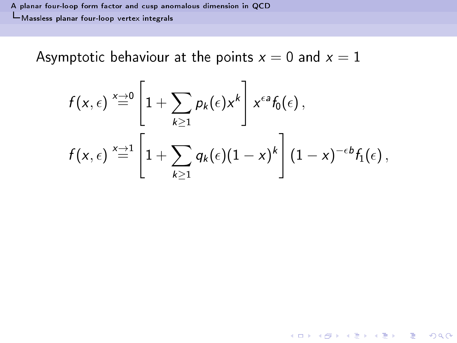Asymptotic behaviour at the points  $x = 0$  and  $x = 1$ 

<span id="page-49-0"></span>
$$
f(x,\epsilon) \stackrel{x \to 0}{=} \left[1 + \sum_{k \geq 1} p_k(\epsilon) x^k\right] x^{\epsilon a} f_0(\epsilon),
$$
  

$$
f(x,\epsilon) \stackrel{x \to 1}{=} \left[1 + \sum_{k \geq 1} q_k(\epsilon) (1-x)^k\right] (1-x)^{-\epsilon b} f_1(\epsilon),
$$

K ロ ▶ K 레 ≯ K 제공 X X 제공 → D 및 X - 9 Q Q Q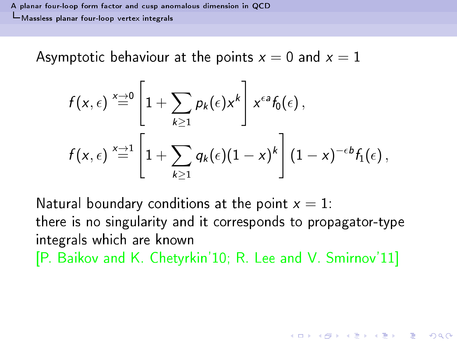A planar four-loop form fa
tor and usp [anomalous](#page-0-0) dimension in QCD L Massless planar four-loop vertex integrals Massless planar [four-loop](#page-50-0) vertex integrals

Asymptotic behaviour at the points  $x = 0$  and  $x = 1$ 

$$
f(x,\epsilon) \stackrel{x \to 0}{=} \left[1 + \sum_{k \geq 1} p_k(\epsilon) x^k \right] x^{\epsilon a} f_0(\epsilon),
$$
  

$$
f(x,\epsilon) \stackrel{x \to 1}{=} \left[1 + \sum_{k \geq 1} q_k(\epsilon) (1-x)^k \right] (1-x)^{-\epsilon b} f_1(\epsilon),
$$

<span id="page-50-0"></span>Natural boundary conditions at the point  $x = 1$ : there is no singularity and it corresponds to propagator-type integrals whi
h are known [P. Baikov and K. Chetyrkin'10; R. Lee and V. Smirnov'11]

**A DIA K RIA K B A SHA K RIA K DIA K**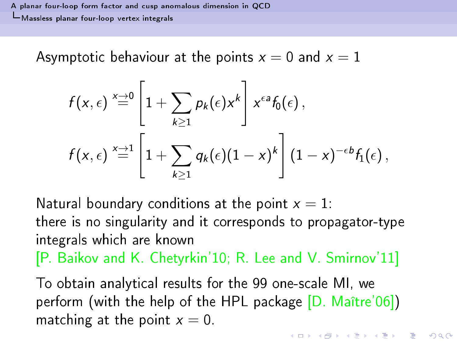A planar four-loop form fa
tor and usp [anomalous](#page-0-0) dimension in QCD L Massless planar four-loop vertex integrals Massless planar [four-loop](#page-51-0) vertex integrals

Asymptotic behaviour at the points  $x = 0$  and  $x = 1$ 

$$
f(x,\epsilon) \stackrel{x \to 0}{=} \left[1 + \sum_{k \geq 1} p_k(\epsilon) x^k \right] x^{\epsilon a} f_0(\epsilon),
$$
  

$$
f(x,\epsilon) \stackrel{x \to 1}{=} \left[1 + \sum_{k \geq 1} q_k(\epsilon) (1-x)^k \right] (1-x)^{-\epsilon b} f_1(\epsilon),
$$

Natural boundary conditions at the point  $x = 1$ : there is no singularity and it corresponds to propagator-type integrals whi
h are known

[P. Baikov and K. Chetyrkin'10; R. Lee and V. Smirnov'11]

<span id="page-51-0"></span>To obtain analytical results for the 99 one-scale MI, we perform (with the help of the HPL package  $[D.$  Maître'06 $]$ ) matching at the point  $x=0$ .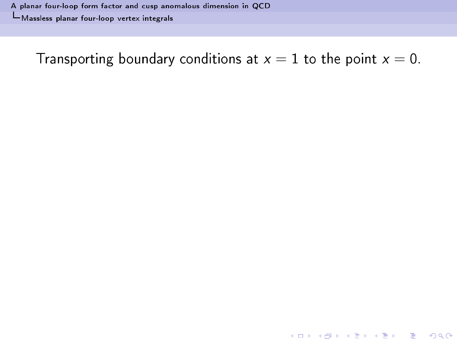<span id="page-52-0"></span>Transporting boundary conditions at  $x = 1$  to the point  $x = 0$ .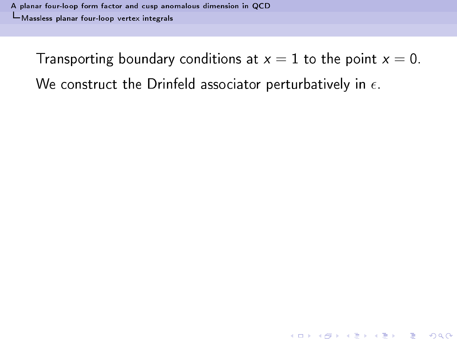<span id="page-53-0"></span>**A DIA K RIA K B A SHA K RIA K DIA K**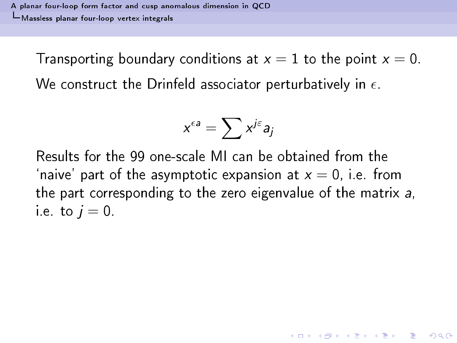$$
x^{\epsilon a} = \sum x^{j\epsilon} a_j
$$

<span id="page-54-0"></span>Results for the 99 one-scale MI can be obtained from the 'naive' part of the asymptotic expansion at  $x=0$ , i.e. from the part corresponding to the zero eigenvalue of the matrix a. i.e. to  $i=0$ .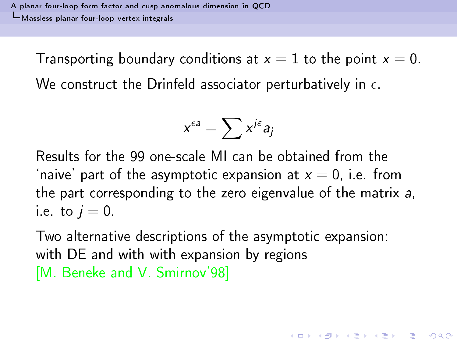$$
x^{\epsilon a} = \sum x^{j\epsilon} a_j
$$

Results for the 99 one-scale MI can be obtained from the 'naive' part of the asymptotic expansion at  $x=0$ , i.e. from the part corresponding to the zero eigenvalue of the matrix a. i.e. to  $i=0$ .

<span id="page-55-0"></span>Two alternative descriptions of the asymptotic expansion: with DE and with with expansion by regions [M. Beneke and V. Smirnov'98]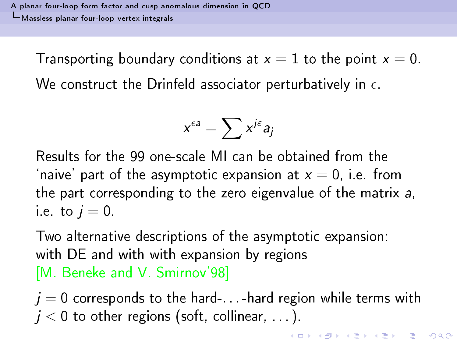$$
x^{\epsilon a} = \sum x^{j\epsilon} a_j
$$

Results for the 99 one-scale MI can be obtained from the 'naive' part of the asymptotic expansion at  $x = 0$ , i.e. from the part corresponding to the zero eigenvalue of the matrix a, i.e. to  $i=0$ .

Two alternative descriptions of the asymptotic expansion: with DE and with with expansion by regions [M. Beneke and V. Smirnov'98]

<span id="page-56-0"></span> $j = 0$  corresponds to the hard-... -hard region while terms with  $j < 0$  to other regions (soft, collinear,  $\ldots$  ).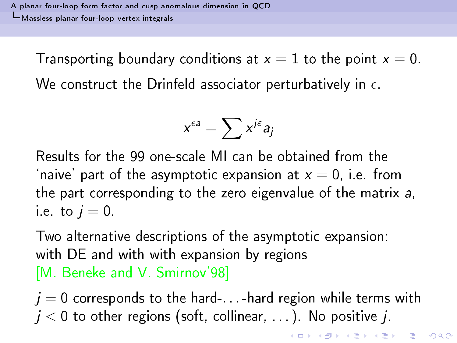$$
x^{\epsilon a} = \sum x^{j\epsilon} a_j
$$

Results for the 99 one-scale MI can be obtained from the 'naive' part of the asymptotic expansion at  $x = 0$ , i.e. from the part corresponding to the zero eigenvalue of the matrix a, i.e. to  $i=0$ .

Two alternative descriptions of the asymptotic expansion: with DE and with with expansion by regions [M. Beneke and V. Smirnov'98]

<span id="page-57-0"></span> $j = 0$  corresponds to the hard-... -hard region while terms with  $j < 0$  to other regions (soft, collinear, ...). No positive j.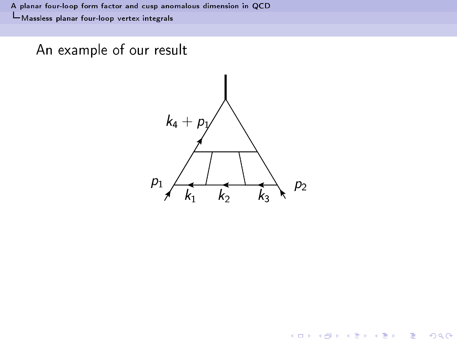<span id="page-58-0"></span>An example of our result



イロト イ部 トイモト イモド

重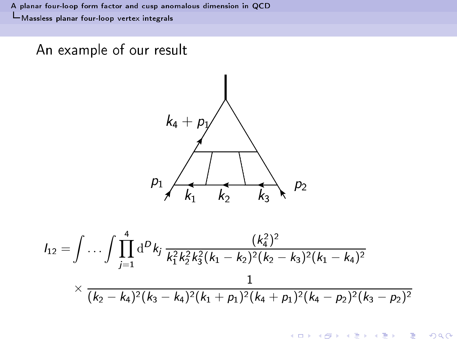### An example of our result



<span id="page-59-0"></span>
$$
I_{12} = \int \ldots \int \prod_{j=1}^{4} d^D k_j \frac{(k_4^2)^2}{k_1^2 k_2^2 k_3^2 (k_1 - k_2)^2 (k_2 - k_3)^2 (k_1 - k_4)^2}
$$
  
 
$$
\times \frac{1}{(k_2 - k_4)^2 (k_3 - k_4)^2 (k_1 + p_1)^2 (k_4 + p_1)^2 (k_4 - p_2)^2 (k_3 - p_2)^2}
$$

イロト イ部 トイモト イモド

重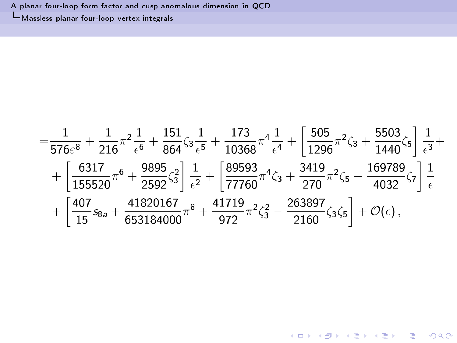A planar four-loop form factor and cusp anomalous dimension in QCD L Massless planar four-loop vertex integrals

<span id="page-60-0"></span>
$$
=\frac{1}{576\epsilon^{8}}+\frac{1}{216}\pi^{2}\frac{1}{\epsilon^{6}}+\frac{151}{864}\zeta_{3}\frac{1}{\epsilon^{5}}+\frac{173}{10368}\pi^{4}\frac{1}{\epsilon^{4}}+\left[\frac{505}{1296}\pi^{2}\zeta_{3}+\frac{5503}{1440}\zeta_{5}\right]\frac{1}{\epsilon^{3}}+\\+\left[\frac{6317}{155520}\pi^{6}+\frac{9895}{2592}\zeta_{3}^{2}\right]\frac{1}{\epsilon^{2}}+\left[\frac{89593}{77760}\pi^{4}\zeta_{3}+\frac{3419}{270}\pi^{2}\zeta_{5}-\frac{169789}{4032}\zeta_{7}\right]\frac{1}{\epsilon}\\+\left[\frac{407}{15}s_{8a}+\frac{41820167}{653184000}\pi^{8}+\frac{41719}{972}\pi^{2}\zeta_{3}^{2}-\frac{263897}{2160}\zeta_{3}\zeta_{5}\right]+{\cal O}(\epsilon)\,,
$$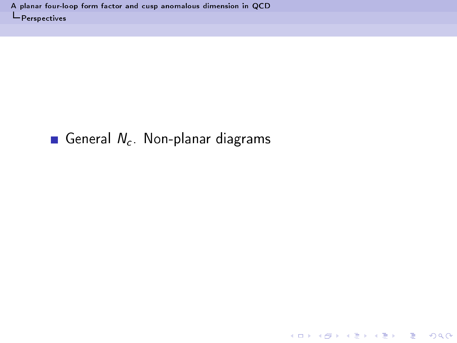### <span id="page-61-0"></span>General  $N_c$ . Non-planar diagrams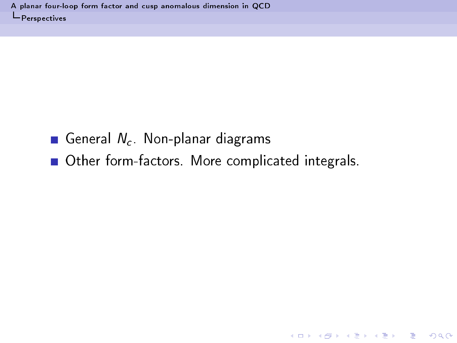# General  $N_c$ . Non-planar diagrams

<span id="page-62-0"></span>Other form-factors. More complicated integrals.